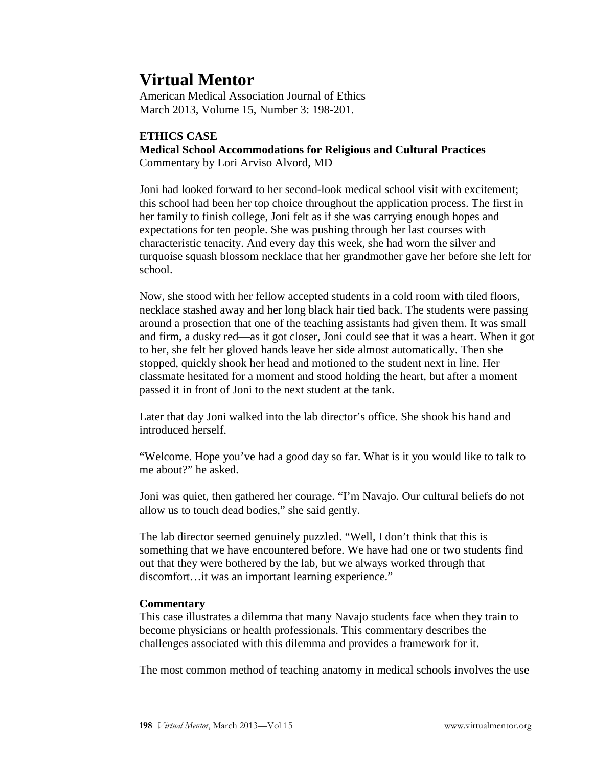# **Virtual Mentor**

American Medical Association Journal of Ethics March 2013, Volume 15, Number 3: 198-201.

## **ETHICS CASE**

**Medical School Accommodations for Religious and Cultural Practices**

Commentary by Lori Arviso Alvord, MD

Joni had looked forward to her second-look medical school visit with excitement; this school had been her top choice throughout the application process. The first in her family to finish college, Joni felt as if she was carrying enough hopes and expectations for ten people. She was pushing through her last courses with characteristic tenacity. And every day this week, she had worn the silver and turquoise squash blossom necklace that her grandmother gave her before she left for school.

Now, she stood with her fellow accepted students in a cold room with tiled floors, necklace stashed away and her long black hair tied back. The students were passing around a prosection that one of the teaching assistants had given them. It was small and firm, a dusky red—as it got closer, Joni could see that it was a heart. When it got to her, she felt her gloved hands leave her side almost automatically. Then she stopped, quickly shook her head and motioned to the student next in line. Her classmate hesitated for a moment and stood holding the heart, but after a moment passed it in front of Joni to the next student at the tank.

Later that day Joni walked into the lab director's office. She shook his hand and introduced herself.

"Welcome. Hope you've had a good day so far. What is it you would like to talk to me about?" he asked.

Joni was quiet, then gathered her courage. "I'm Navajo. Our cultural beliefs do not allow us to touch dead bodies," she said gently.

The lab director seemed genuinely puzzled. "Well, I don't think that this is something that we have encountered before. We have had one or two students find out that they were bothered by the lab, but we always worked through that discomfort...it was an important learning experience."

### **Commentary**

This case illustrates a dilemma that many Navajo students face when they train to become physicians or health professionals. This commentary describes the challenges associated with this dilemma and provides a framework for it.

The most common method of teaching anatomy in medical schools involves the use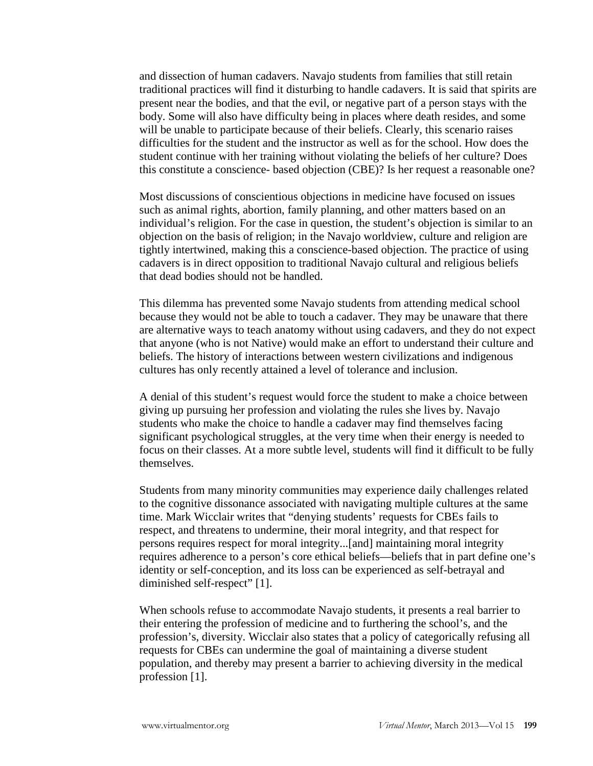and dissection of human cadavers. Navajo students from families that still retain traditional practices will find it disturbing to handle cadavers. It is said that spirits are present near the bodies, and that the evil, or negative part of a person stays with the body. Some will also have difficulty being in places where death resides, and some will be unable to participate because of their beliefs. Clearly, this scenario raises difficulties for the student and the instructor as well as for the school. How does the student continue with her training without violating the beliefs of her culture? Does this constitute a conscience- based objection (CBE)? Is her request a reasonable one?

Most discussions of conscientious objections in medicine have focused on issues such as animal rights, abortion, family planning, and other matters based on an individual's religion. For the case in question, the student's objection is similar to an objection on the basis of religion; in the Navajo worldview, culture and religion are tightly intertwined, making this a conscience-based objection. The practice of using cadavers is in direct opposition to traditional Navajo cultural and religious beliefs that dead bodies should not be handled.

This dilemma has prevented some Navajo students from attending medical school because they would not be able to touch a cadaver. They may be unaware that there are alternative ways to teach anatomy without using cadavers, and they do not expect that anyone (who is not Native) would make an effort to understand their culture and beliefs. The history of interactions between western civilizations and indigenous cultures has only recently attained a level of tolerance and inclusion.

A denial of this student's request would force the student to make a choice between giving up pursuing her profession and violating the rules she lives by. Navajo students who make the choice to handle a cadaver may find themselves facing significant psychological struggles, at the very time when their energy is needed to focus on their classes. At a more subtle level, students will find it difficult to be fully themselves.

Students from many minority communities may experience daily challenges related to the cognitive dissonance associated with navigating multiple cultures at the same time. Mark Wicclair writes that "denying students' requests for CBEs fails to respect, and threatens to undermine, their moral integrity, and that respect for persons requires respect for moral integrity...[and] maintaining moral integrity requires adherence to a person's core ethical beliefs—beliefs that in part define one's identity or self-conception, and its loss can be experienced as self-betrayal and diminished self-respect" [1].

When schools refuse to accommodate Navajo students, it presents a real barrier to their entering the profession of medicine and to furthering the school's, and the profession's, diversity. Wicclair also states that a policy of categorically refusing all requests for CBEs can undermine the goal of maintaining a diverse student population, and thereby may present a barrier to achieving diversity in the medical profession [1].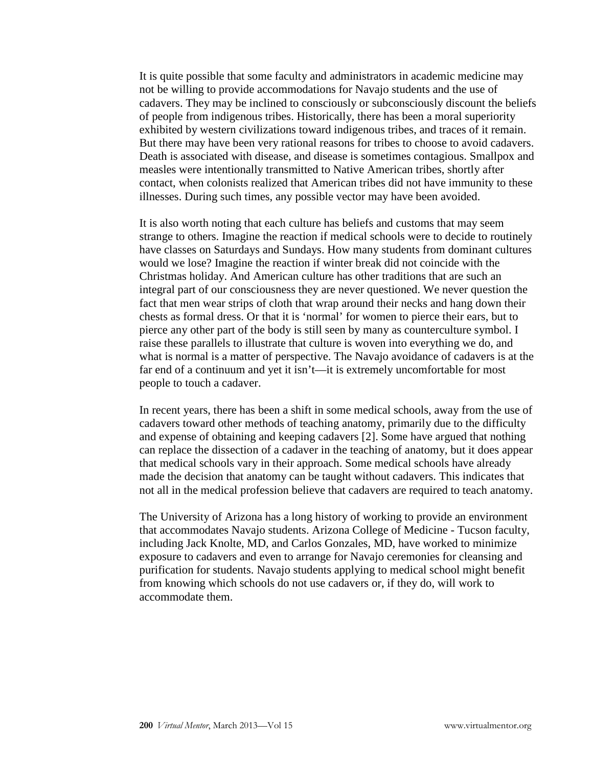It is quite possible that some faculty and administrators in academic medicine may not be willing to provide accommodations for Navajo students and the use of cadavers. They may be inclined to consciously or subconsciously discount the beliefs of people from indigenous tribes. Historically, there has been a moral superiority exhibited by western civilizations toward indigenous tribes, and traces of it remain. But there may have been very rational reasons for tribes to choose to avoid cadavers. Death is associated with disease, and disease is sometimes contagious. Smallpox and measles were intentionally transmitted to Native American tribes, shortly after contact, when colonists realized that American tribes did not have immunity to these illnesses. During such times, any possible vector may have been avoided.

It is also worth noting that each culture has beliefs and customs that may seem strange to others. Imagine the reaction if medical schools were to decide to routinely have classes on Saturdays and Sundays. How many students from dominant cultures would we lose? Imagine the reaction if winter break did not coincide with the Christmas holiday. And American culture has other traditions that are such an integral part of our consciousness they are never questioned. We never question the fact that men wear strips of cloth that wrap around their necks and hang down their chests as formal dress. Or that it is 'normal' for women to pierce their ears, but to pierce any other part of the body is still seen by many as counterculture symbol. I raise these parallels to illustrate that culture is woven into everything we do, and what is normal is a matter of perspective. The Navajo avoidance of cadavers is at the far end of a continuum and yet it isn't—it is extremely uncomfortable for most people to touch a cadaver.

In recent years, there has been a shift in some medical schools, away from the use of cadavers toward other methods of teaching anatomy, primarily due to the difficulty and expense of obtaining and keeping cadavers [2]. Some have argued that nothing can replace the dissection of a cadaver in the teaching of anatomy, but it does appear that medical schools vary in their approach. Some medical schools have already made the decision that anatomy can be taught without cadavers. This indicates that not all in the medical profession believe that cadavers are required to teach anatomy.

The University of Arizona has a long history of working to provide an environment that accommodates Navajo students. Arizona College of Medicine - Tucson faculty, including Jack Knolte, MD, and Carlos Gonzales, MD, have worked to minimize exposure to cadavers and even to arrange for Navajo ceremonies for cleansing and purification for students. Navajo students applying to medical school might benefit from knowing which schools do not use cadavers or, if they do, will work to accommodate them.